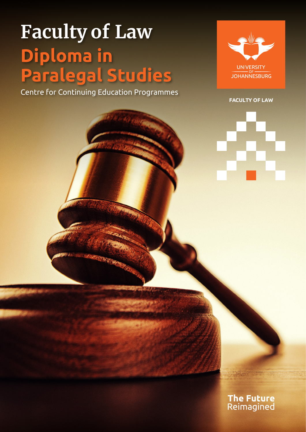# **Faculty of Law Diploma in Paralegal Studies**

Centre for Continuing Education Programmes



**FACULTY OF LA W**



**The Future**<br>Reimagined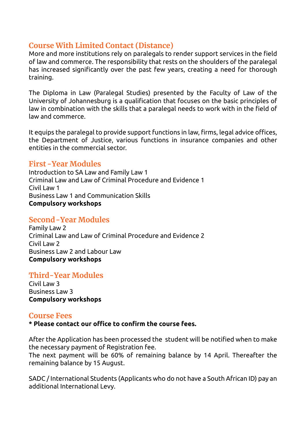# **Course With Limited Contact (Distance)**

More and more institutions rely on paralegals to render support services in the field of law and commerce. The responsibility that rests on the shoulders of the paralegal has increased significantly over the past few years, creating a need for thorough training.

The Diploma in Law (Paralegal Studies) presented by the Faculty of Law of the University of Johannesburg is a qualification that focuses on the basic principles of law in combination with the skills that a paralegal needs to work with in the field of law and commerce.

It equips the paralegal to provide support functions in law, firms, legal advice offices, the Department of Justice, various functions in insurance companies and other entities in the commercial sector.

#### **First -Year Modules**

Introduction to SA Law and Family Law 1 Criminal Law and Law of Criminal Procedure and Evidence 1 Civil Law 1 Business Law 1 and Communication Skills **Compulsory workshops**

### **Second-Year Modules**

Family Law 2 Criminal Law and Law of Criminal Procedure and Evidence 2 Civil Law 2 Business Law 2 and Labour Law **Compulsory workshops**

# **Third-Year Modules**

Civil Law 3 Business Law 3 **Compulsory workshops**

#### **Course Fees**

**\* Please contact our office to confirm the course fees.**

After the Application has been processed the student will be notified when to make the necessary payment of Registration fee.

The next payment will be 60% of remaining balance by 14 April. Thereafter the remaining balance by 15 August.

SADC / International Students (Applicants who do not have a South African ID) pay an additional International Levy.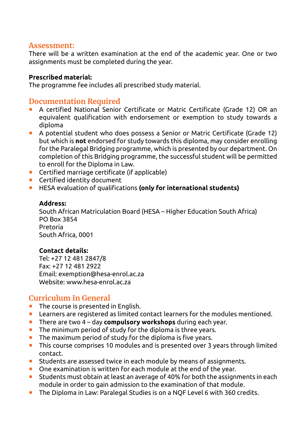#### **Assessment:**

There will be a written examination at the end of the academic year. One or two assignments must be completed during the year.

#### **Prescribed material:**

The programme fee includes all prescribed study material.

#### **Documentation Required**

- A certified National Senior Certificate or Matric Certificate (Grade 12) OR an equivalent qualification with endorsement or exemption to study towards a diploma
- A potential student who does possess a Senior or Matric Certificate (Grade 12) but which is **not** endorsed for study towards this diploma, may consider enrolling for the Paralegal Bridging programme, which is presented by our department. On completion of this Bridging programme, the successful student will be permitted to enroll for the Diploma in Law.
- Certified marriage certificate (if applicable)
- **E** Certified identity document
- **HESA evaluation of qualifications (only for international students)**

#### **Address:**

South African Matriculation Board (HESA – Higher Education South Africa) PO Box 3854 Pretoria South Africa, 0001

#### **Contact details:**

Tel: +27 12 481 2847/8 Fax: +27 12 481 2922 Email: exemption@hesa-enrol.ac.za Website: www.hesa-enrol.ac.za

# **Curriculum In General**

- **The course is presented in English.**
- Learners are registered as limited contact learners for the modules mentioned.
- **There are two 4 day compulsory workshops** during each year.
- **The minimum period of study for the diploma is three years.**
- $\blacksquare$  The maximum period of study for the diploma is five years.
- This course comprises 10 modules and is presented over 3 years through limited contact.
- **E** Students are assessed twice in each module by means of assignments.
- One examination is written for each module at the end of the year.
- Students must obtain at least an average of 40% for both the assignments in each module in order to gain admission to the examination of that module.
- The Diploma in Law: Paralegal Studies is on a NQF Level 6 with 360 credits.